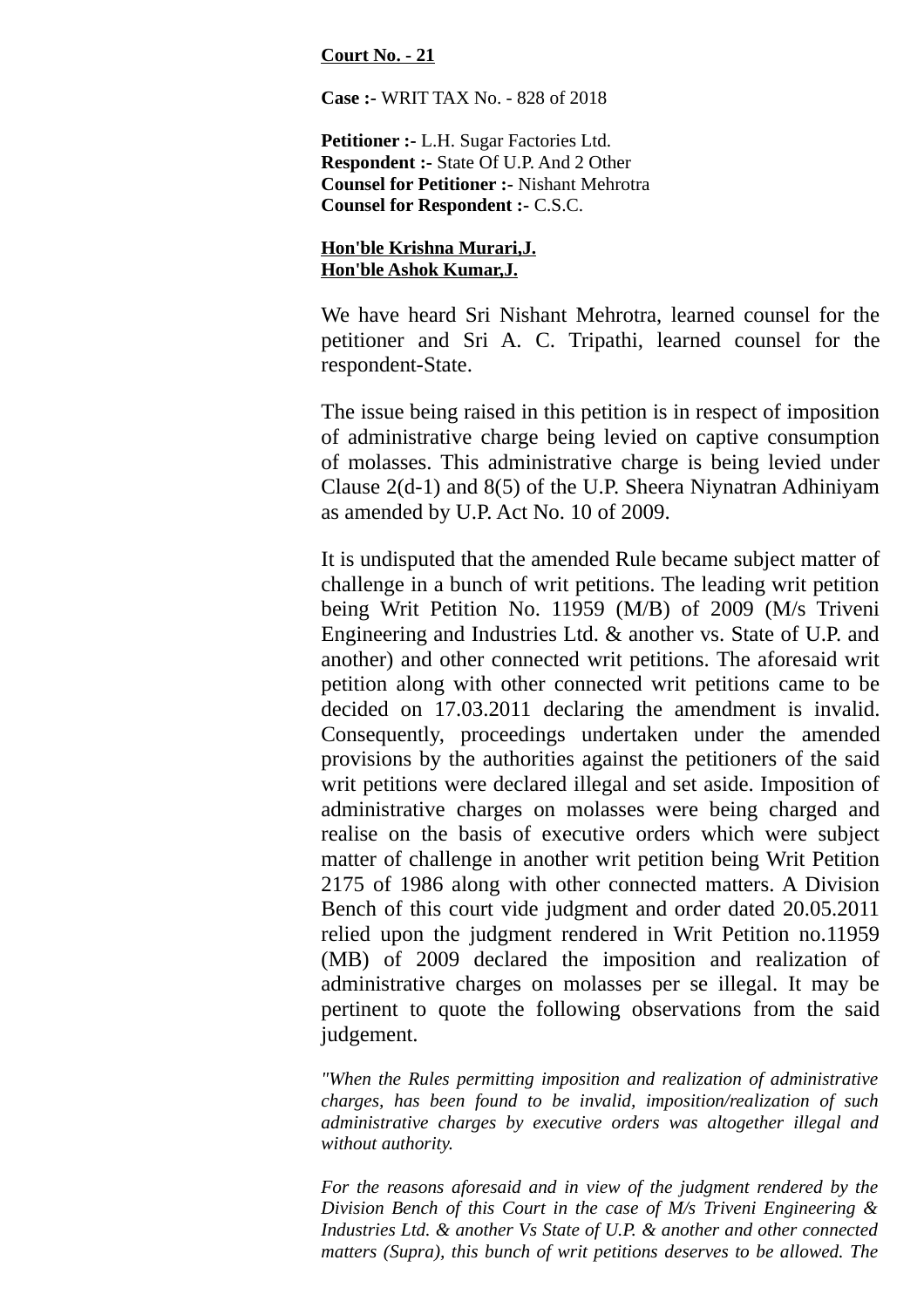## **Court No. - 21**

**Case :-** WRIT TAX No. - 828 of 2018

**Petitioner :-** L.H. Sugar Factories Ltd. **Respondent :-** State Of U.P. And 2 Other **Counsel for Petitioner :-** Nishant Mehrotra **Counsel for Respondent :-** C.S.C.

## **Hon'ble Krishna Murari,J. Hon'ble Ashok Kumar,J.**

We have heard Sri Nishant Mehrotra, learned counsel for the petitioner and Sri A. C. Tripathi, learned counsel for the respondent-State.

The issue being raised in this petition is in respect of imposition of administrative charge being levied on captive consumption of molasses. This administrative charge is being levied under Clause 2(d-1) and 8(5) of the U.P. Sheera Niynatran Adhiniyam as amended by U.P. Act No. 10 of 2009.

It is undisputed that the amended Rule became subject matter of challenge in a bunch of writ petitions. The leading writ petition being Writ Petition No. 11959 (M/B) of 2009 (M/s Triveni Engineering and Industries Ltd. & another vs. State of U.P. and another) and other connected writ petitions. The aforesaid writ petition along with other connected writ petitions came to be decided on 17.03.2011 declaring the amendment is invalid. Consequently, proceedings undertaken under the amended provisions by the authorities against the petitioners of the said writ petitions were declared illegal and set aside. Imposition of administrative charges on molasses were being charged and realise on the basis of executive orders which were subject matter of challenge in another writ petition being Writ Petition 2175 of 1986 along with other connected matters. A Division Bench of this court vide judgment and order dated 20.05.2011 relied upon the judgment rendered in Writ Petition no.11959 (MB) of 2009 declared the imposition and realization of administrative charges on molasses per se illegal. It may be pertinent to quote the following observations from the said judgement.

*"When the Rules permitting imposition and realization of administrative charges, has been found to be invalid, imposition/realization of such administrative charges by executive orders was altogether illegal and without authority.* 

*For the reasons aforesaid and in view of the judgment rendered by the Division Bench of this Court in the case of M/s Triveni Engineering & Industries Ltd. & another Vs State of U.P. & another and other connected matters (Supra), this bunch of writ petitions deserves to be allowed. The*